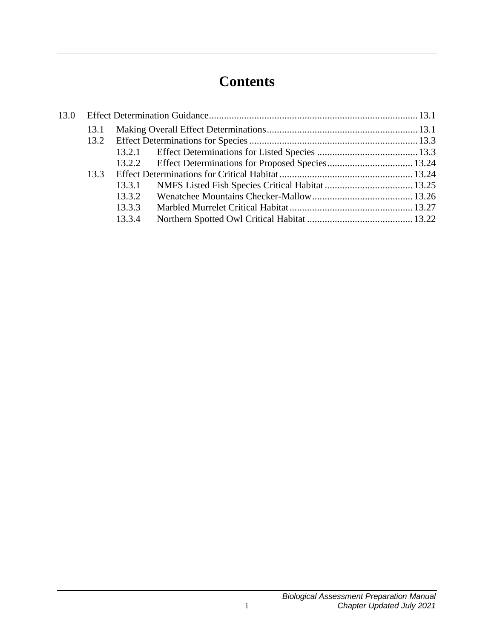# **Contents**

| 13.0 |      |        |  |  |
|------|------|--------|--|--|
|      | 13.1 |        |  |  |
|      |      |        |  |  |
|      |      |        |  |  |
|      |      |        |  |  |
|      | 13.3 |        |  |  |
|      |      | 13.3.1 |  |  |
|      |      | 13.3.2 |  |  |
|      |      | 13.3.3 |  |  |
|      |      | 13.3.4 |  |  |
|      |      |        |  |  |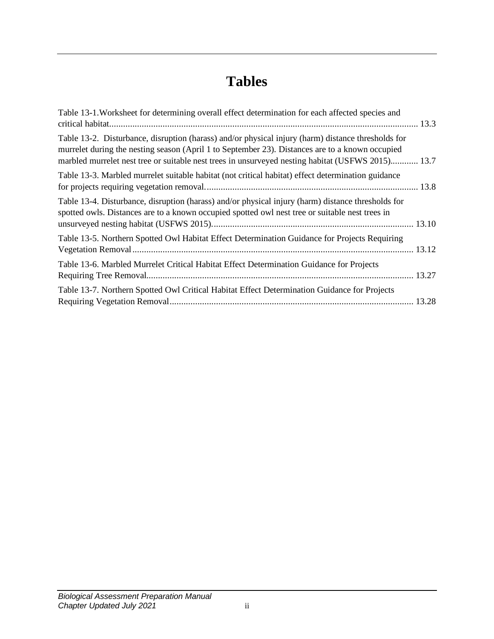# **Tables**

| Table 13-1. Worksheet for determining overall effect determination for each affected species and                                                                                                                                                                                                           |  |
|------------------------------------------------------------------------------------------------------------------------------------------------------------------------------------------------------------------------------------------------------------------------------------------------------------|--|
| Table 13-2. Disturbance, disruption (harass) and/or physical injury (harm) distance thresholds for<br>murrelet during the nesting season (April 1 to September 23). Distances are to a known occupied<br>marbled murrelet nest tree or suitable nest trees in unsurveyed nesting habitat (USFWS 2015) 13.7 |  |
| Table 13-3. Marbled murrelet suitable habitat (not critical habitat) effect determination guidance                                                                                                                                                                                                         |  |
| Table 13-4. Disturbance, disruption (harass) and/or physical injury (harm) distance thresholds for<br>spotted owls. Distances are to a known occupied spotted owl nest tree or suitable nest trees in                                                                                                      |  |
| Table 13-5. Northern Spotted Owl Habitat Effect Determination Guidance for Projects Requiring                                                                                                                                                                                                              |  |
| Table 13-6. Marbled Murrelet Critical Habitat Effect Determination Guidance for Projects                                                                                                                                                                                                                   |  |
| Table 13-7. Northern Spotted Owl Critical Habitat Effect Determination Guidance for Projects                                                                                                                                                                                                               |  |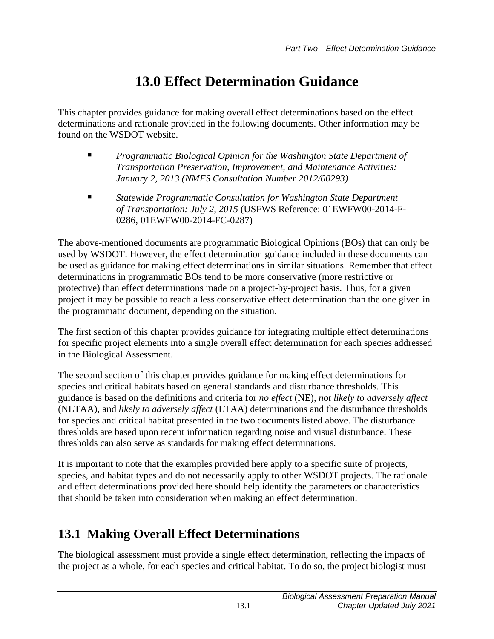# **13.0 Effect Determination Guidance**

<span id="page-4-0"></span>This chapter provides guidance for making overall effect determinations based on the effect determinations and rationale provided in the following documents. Other information may be found on the WSDOT website.

- *Programmatic Biological Opinion for the Washington State Department of Transportation Preservation, Improvement, and Maintenance Activities: January 2, 2013 (NMFS Consultation Number 2012/00293)*
- *Statewide Programmatic Consultation for Washington State Department of Transportation: July 2, 2015* (USFWS Reference: 01EWFW00-2014-F-0286, 01EWFW00-2014-FC-0287)

The above-mentioned documents are programmatic Biological Opinions (BOs) that can only be used by WSDOT. However, the effect determination guidance included in these documents can be used as guidance for making effect determinations in similar situations. Remember that effect determinations in programmatic BOs tend to be more conservative (more restrictive or protective) than effect determinations made on a project-by-project basis. Thus, for a given project it may be possible to reach a less conservative effect determination than the one given in the programmatic document, depending on the situation.

The first section of this chapter provides guidance for integrating multiple effect determinations for specific project elements into a single overall effect determination for each species addressed in the Biological Assessment.

The second section of this chapter provides guidance for making effect determinations for species and critical habitats based on general standards and disturbance thresholds. This guidance is based on the definitions and criteria for *no effect* (NE), *not likely to adversely affect* (NLTAA), and *likely to adversely affect* (LTAA) determinations and the disturbance thresholds for species and critical habitat presented in the two documents listed above. The disturbance thresholds are based upon recent information regarding noise and visual disturbance. These thresholds can also serve as standards for making effect determinations.

It is important to note that the examples provided here apply to a specific suite of projects, species, and habitat types and do not necessarily apply to other WSDOT projects. The rationale and effect determinations provided here should help identify the parameters or characteristics that should be taken into consideration when making an effect determination.

## <span id="page-4-1"></span>**13.1 Making Overall Effect Determinations**

The biological assessment must provide a single effect determination, reflecting the impacts of the project as a whole, for each species and critical habitat. To do so, the project biologist must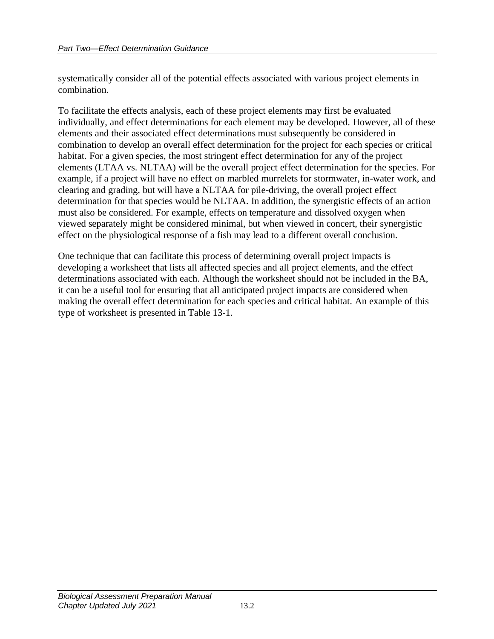systematically consider all of the potential effects associated with various project elements in combination.

To facilitate the effects analysis, each of these project elements may first be evaluated individually, and effect determinations for each element may be developed. However, all of these elements and their associated effect determinations must subsequently be considered in combination to develop an overall effect determination for the project for each species or critical habitat. For a given species, the most stringent effect determination for any of the project elements (LTAA vs. NLTAA) will be the overall project effect determination for the species. For example, if a project will have no effect on marbled murrelets for stormwater, in-water work, and clearing and grading, but will have a NLTAA for pile-driving, the overall project effect determination for that species would be NLTAA. In addition, the synergistic effects of an action must also be considered. For example, effects on temperature and dissolved oxygen when viewed separately might be considered minimal, but when viewed in concert, their synergistic effect on the physiological response of a fish may lead to a different overall conclusion.

One technique that can facilitate this process of determining overall project impacts is developing a worksheet that lists all affected species and all project elements, and the effect determinations associated with each. Although the worksheet should not be included in the BA, it can be a useful tool for ensuring that all anticipated project impacts are considered when making the overall effect determination for each species and critical habitat. An example of this type of worksheet is presented in Table 13-1.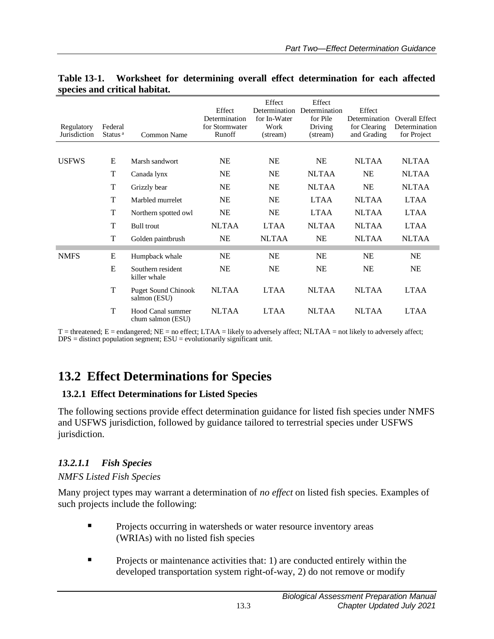| Regulatory<br>Jurisdiction | Federal<br>Status <sup>a</sup> | Common Name                                | Effect<br>Determination<br>for Stormwater<br>Runoff | Effect<br>Determination<br>for In-Water<br>Work<br>(stream) | Effect<br>Determination<br>for Pile<br>Driving<br>(stream) | Effect<br>Determination<br>for Clearing<br>and Grading | Overall Effect<br>Determination<br>for Project |
|----------------------------|--------------------------------|--------------------------------------------|-----------------------------------------------------|-------------------------------------------------------------|------------------------------------------------------------|--------------------------------------------------------|------------------------------------------------|
| <b>USFWS</b>               | E                              | Marsh sandwort                             | <b>NE</b>                                           | <b>NE</b>                                                   | <b>NE</b>                                                  | <b>NLTAA</b>                                           | <b>NLTAA</b>                                   |
|                            | T                              |                                            | <b>NE</b>                                           | <b>NE</b>                                                   | <b>NLTAA</b>                                               | <b>NE</b>                                              | <b>NLTAA</b>                                   |
|                            |                                | Canada lynx                                |                                                     |                                                             |                                                            |                                                        |                                                |
|                            | T                              | Grizzly bear                               | <b>NE</b>                                           | <b>NE</b>                                                   | <b>NLTAA</b>                                               | <b>NE</b>                                              | <b>NLTAA</b>                                   |
|                            | T                              | Marbled murrelet                           | <b>NE</b>                                           | <b>NE</b>                                                   | <b>LTAA</b>                                                | <b>NLTAA</b>                                           | <b>LTAA</b>                                    |
|                            | T                              | Northern spotted owl                       | <b>NE</b>                                           | <b>NE</b>                                                   | <b>LTAA</b>                                                | <b>NLTAA</b>                                           | <b>LTAA</b>                                    |
|                            | T                              | <b>Bull</b> trout                          | <b>NLTAA</b>                                        | <b>LTAA</b>                                                 | <b>NLTAA</b>                                               | <b>NLTAA</b>                                           | <b>LTAA</b>                                    |
|                            | T                              | Golden paintbrush                          | <b>NE</b>                                           | <b>NLTAA</b>                                                | <b>NE</b>                                                  | <b>NLTAA</b>                                           | <b>NLTAA</b>                                   |
| <b>NMFS</b>                | Е                              | Humpback whale                             | <b>NE</b>                                           | <b>NE</b>                                                   | <b>NE</b>                                                  | <b>NE</b>                                              | <b>NE</b>                                      |
|                            | E                              | Southern resident<br>killer whale          | <b>NE</b>                                           | <b>NE</b>                                                   | <b>NE</b>                                                  | <b>NE</b>                                              | <b>NE</b>                                      |
|                            | T                              | <b>Puget Sound Chinook</b><br>salmon (ESU) | <b>NLTAA</b>                                        | <b>LTAA</b>                                                 | <b>NLTAA</b>                                               | <b>NLTAA</b>                                           | <b>LTAA</b>                                    |
|                            | T                              | Hood Canal summer<br>chum salmon (ESU)     | <b>NLTAA</b>                                        | <b>LTAA</b>                                                 | <b>NLTAA</b>                                               | <b>NLTAA</b>                                           | <b>LTAA</b>                                    |

<span id="page-6-2"></span>

|                               |  | Table 13-1. Worksheet for determining overall effect determination for each affected |  |  |
|-------------------------------|--|--------------------------------------------------------------------------------------|--|--|
| species and critical habitat. |  |                                                                                      |  |  |

 $T =$  threatened;  $E =$  endangered;  $NE =$  no effect;  $LTAA =$  likely to adversely affect;  $NLTAA =$  not likely to adversely affect; DPS = distinct population segment; ESU = evolutionarily significant unit.

## <span id="page-6-0"></span>**13.2 Effect Determinations for Species**

### <span id="page-6-1"></span>**13.2.1 Effect Determinations for Listed Species**

The following sections provide effect determination guidance for listed fish species under NMFS and USFWS jurisdiction, followed by guidance tailored to terrestrial species under USFWS jurisdiction.

## *13.2.1.1 Fish Species*

#### *NMFS Listed Fish Species*

Many project types may warrant a determination of *no effect* on listed fish species. Examples of such projects include the following:

- **Projects occurring in watersheds or water resource inventory areas** (WRIAs) with no listed fish species
- Projects or maintenance activities that: 1) are conducted entirely within the developed transportation system right-of-way, 2) do not remove or modify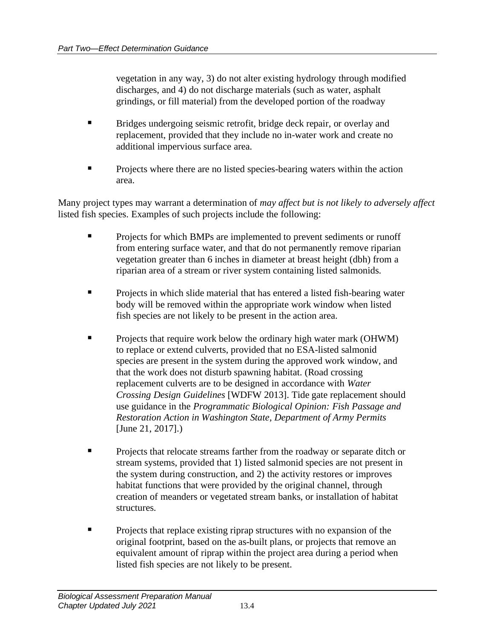vegetation in any way, 3) do not alter existing hydrology through modified discharges, and 4) do not discharge materials (such as water, asphalt grindings, or fill material) from the developed portion of the roadway

- Bridges undergoing seismic retrofit, bridge deck repair, or overlay and replacement, provided that they include no in-water work and create no additional impervious surface area.
- Projects where there are no listed species-bearing waters within the action area.

Many project types may warrant a determination of *may affect but is not likely to adversely affect* listed fish species. Examples of such projects include the following:

- Projects for which BMPs are implemented to prevent sediments or runoff from entering surface water, and that do not permanently remove riparian vegetation greater than 6 inches in diameter at breast height (dbh) from a riparian area of a stream or river system containing listed salmonids.
- Projects in which slide material that has entered a listed fish-bearing water body will be removed within the appropriate work window when listed fish species are not likely to be present in the action area.
- **•** Projects that require work below the ordinary high water mark (OHWM) to replace or extend culverts, provided that no ESA-listed salmonid species are present in the system during the approved work window, and that the work does not disturb spawning habitat. (Road crossing replacement culverts are to be designed in accordance with *Water Crossing Design Guidelines* [WDFW 2013]. Tide gate replacement should use guidance in the *Programmatic Biological Opinion: Fish Passage and Restoration Action in Washington State, Department of Army Permits* [June 21, 2017].)
- **Projects that relocate streams farther from the roadway or separate ditch or** stream systems, provided that 1) listed salmonid species are not present in the system during construction, and 2) the activity restores or improves habitat functions that were provided by the original channel, through creation of meanders or vegetated stream banks, or installation of habitat structures.
- Projects that replace existing riprap structures with no expansion of the original footprint, based on the as-built plans, or projects that remove an equivalent amount of riprap within the project area during a period when listed fish species are not likely to be present.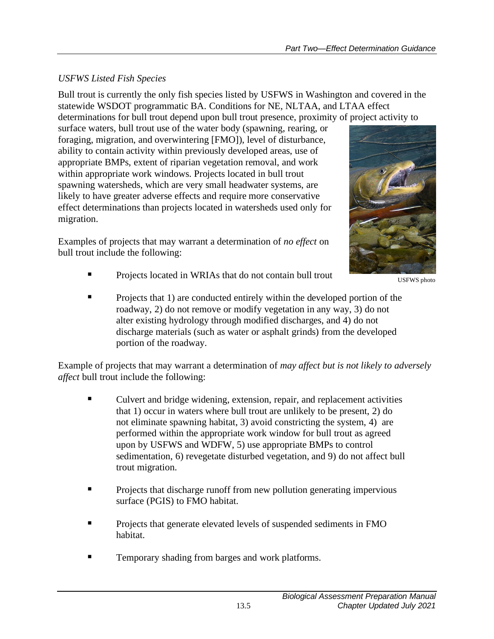## *USFWS Listed Fish Species*

Bull trout is currently the only fish species listed by USFWS in Washington and covered in the statewide WSDOT programmatic BA. Conditions for NE, NLTAA, and LTAA effect determinations for bull trout depend upon bull trout presence, proximity of project activity to

surface waters, bull trout use of the water body (spawning, rearing, or foraging, migration, and overwintering [FMO]), level of disturbance, ability to contain activity within previously developed areas, use of appropriate BMPs, extent of riparian vegetation removal, and work within appropriate work windows. Projects located in bull trout spawning watersheds, which are very small headwater systems, are likely to have greater adverse effects and require more conservative effect determinations than projects located in watersheds used only for migration.

Examples of projects that may warrant a determination of *no effect* on bull trout include the following:



USFWS photo

- Projects located in WRIAs that do not contain bull trout
- Projects that 1) are conducted entirely within the developed portion of the roadway, 2) do not remove or modify vegetation in any way, 3) do not alter existing hydrology through modified discharges, and 4) do not discharge materials (such as water or asphalt grinds) from the developed portion of the roadway.

Example of projects that may warrant a determination of *may affect but is not likely to adversely affect* bull trout include the following:

- Culvert and bridge widening, extension, repair, and replacement activities that 1) occur in waters where bull trout are unlikely to be present, 2) do not eliminate spawning habitat, 3) avoid constricting the system, 4) are performed within the appropriate work window for bull trout as agreed upon by USFWS and WDFW, 5) use appropriate BMPs to control sedimentation, 6) revegetate disturbed vegetation, and 9) do not affect bull trout migration.
- Projects that discharge runoff from new pollution generating impervious surface (PGIS) to FMO habitat.
- Projects that generate elevated levels of suspended sediments in FMO habitat.
- Temporary shading from barges and work platforms.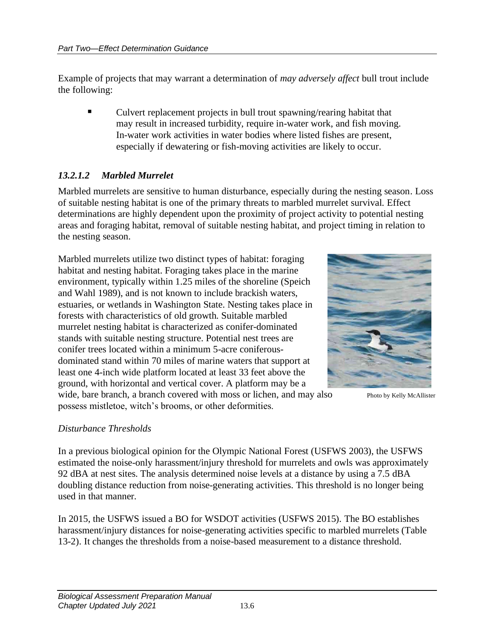Example of projects that may warrant a determination of *may adversely affect* bull trout include the following:

Culvert replacement projects in bull trout spawning/rearing habitat that may result in increased turbidity, require in-water work, and fish moving. In-water work activities in water bodies where listed fishes are present, especially if dewatering or fish-moving activities are likely to occur.

### *13.2.1.2 Marbled Murrelet*

Marbled murrelets are sensitive to human disturbance, especially during the nesting season. Loss of suitable nesting habitat is one of the primary threats to marbled murrelet survival. Effect determinations are highly dependent upon the proximity of project activity to potential nesting areas and foraging habitat, removal of suitable nesting habitat, and project timing in relation to the nesting season.

Marbled murrelets utilize two distinct types of habitat: foraging habitat and nesting habitat. Foraging takes place in the marine environment, typically within 1.25 miles of the shoreline (Speich and Wahl 1989), and is not known to include brackish waters, estuaries, or wetlands in Washington State. Nesting takes place in forests with characteristics of old growth. Suitable marbled murrelet nesting habitat is characterized as conifer-dominated stands with suitable nesting structure. Potential nest trees are conifer trees located within a minimum 5-acre coniferousdominated stand within 70 miles of marine waters that support at least one 4-inch wide platform located at least 33 feet above the ground, with horizontal and vertical cover. A platform may be a wide, bare branch, a branch covered with moss or lichen, and may also possess mistletoe, witch's brooms, or other deformities.



Photo by Kelly McAllister

#### *Disturbance Thresholds*

In a previous biological opinion for the Olympic National Forest (USFWS 2003), the USFWS estimated the noise-only harassment/injury threshold for murrelets and owls was approximately 92 dBA at nest sites. The analysis determined noise levels at a distance by using a 7.5 dBA doubling distance reduction from noise-generating activities. This threshold is no longer being used in that manner.

In 2015, the USFWS issued a BO for WSDOT activities (USFWS 2015). The BO establishes harassment/injury distances for noise-generating activities specific to marbled murrelets (Table 13-2). It changes the thresholds from a noise-based measurement to a distance threshold.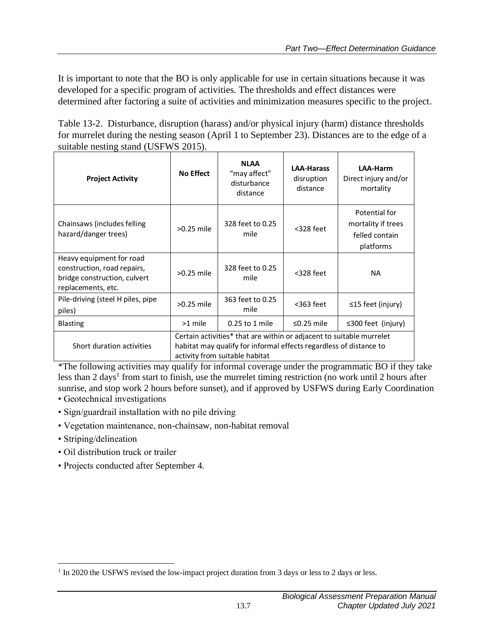It is important to note that the BO is only applicable for use in certain situations because it was developed for a specific program of activities. The thresholds and effect distances were determined after factoring a suite of activities and minimization measures specific to the project.

<span id="page-10-0"></span>Table 13-2. Disturbance, disruption (harass) and/or physical injury (harm) distance thresholds for murrelet during the nesting season (April 1 to September 23). Distances are to the edge of a suitable nesting stand (USFWS 2015).

| <b>Project Activity</b>                                                                                       | No Effect                                                                                                                                                                    | <b>NLAA</b><br>"may affect"<br>disturbance<br>distance | <b>LAA-Harass</b><br>disruption<br>distance | <b>LAA-Harm</b><br>Direct injury and/or<br>mortality               |  |  |
|---------------------------------------------------------------------------------------------------------------|------------------------------------------------------------------------------------------------------------------------------------------------------------------------------|--------------------------------------------------------|---------------------------------------------|--------------------------------------------------------------------|--|--|
| Chainsaws (includes felling)<br>hazard/danger trees)                                                          | $>0.25$ mile                                                                                                                                                                 | 328 feet to 0.25<br>mile                               | $<$ 328 feet                                | Potential for<br>mortality if trees<br>felled contain<br>platforms |  |  |
| Heavy equipment for road<br>construction, road repairs,<br>bridge construction, culvert<br>replacements, etc. | $>0.25$ mile                                                                                                                                                                 | 328 feet to 0.25<br>mile                               | $<$ 328 feet                                | <b>NA</b>                                                          |  |  |
| Pile-driving (steel H piles, pipe<br>piles)                                                                   | $>0.25$ mile                                                                                                                                                                 | 363 feet to 0.25<br>mile                               | $363$ feet                                  | ≤15 feet (injury)                                                  |  |  |
| <b>Blasting</b>                                                                                               | >1 mile                                                                                                                                                                      | 0.25 to 1 mile                                         | $\leq$ 0.25 mile                            | $\leq$ 300 feet (injury)                                           |  |  |
| Short duration activities                                                                                     | Certain activities* that are within or adjacent to suitable murrelet<br>habitat may qualify for informal effects regardless of distance to<br>activity from suitable habitat |                                                        |                                             |                                                                    |  |  |

\*The following activities may qualify for informal coverage under the programmatic BO if they take less than 2 days<sup>1</sup> from start to finish, use the murrelet timing restriction (no work until 2 hours after sunrise, and stop work 2 hours before sunset), and if approved by USFWS during Early Coordination • Geotechnical investigations

- Sign/guardrail installation with no pile driving
- Vegetation maintenance, non-chainsaw, non-habitat removal
- Striping/delineation
- Oil distribution truck or trailer
- Projects conducted after September 4.

<sup>&</sup>lt;sup>1</sup> In 2020 the USFWS revised the low-impact project duration from 3 days or less to 2 days or less.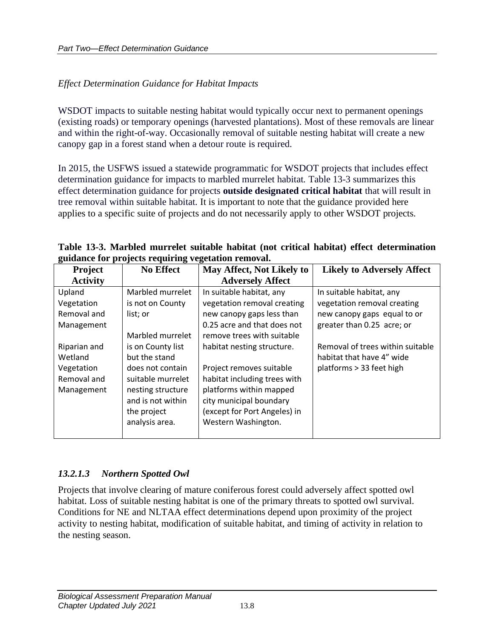#### *Effect Determination Guidance for Habitat Impacts*

WSDOT impacts to suitable nesting habitat would typically occur next to permanent openings (existing roads) or temporary openings (harvested plantations). Most of these removals are linear and within the right-of-way. Occasionally removal of suitable nesting habitat will create a new canopy gap in a forest stand when a detour route is required.

In 2015, the USFWS issued a statewide programmatic for WSDOT projects that includes effect determination guidance for impacts to marbled murrelet habitat. Table 13-3 summarizes this effect determination guidance for projects **outside designated critical habitat** that will result in tree removal within suitable habitat. It is important to note that the guidance provided here applies to a specific suite of projects and do not necessarily apply to other WSDOT projects.

<span id="page-11-0"></span>**Table 13-3. Marbled murrelet suitable habitat (not critical habitat) effect determination guidance for projects requiring vegetation removal.**

| o<br><b>Project</b> | <b>No Effect</b>  | May Affect, Not Likely to    | <b>Likely to Adversely Affect</b> |
|---------------------|-------------------|------------------------------|-----------------------------------|
| <b>Activity</b>     |                   | <b>Adversely Affect</b>      |                                   |
| Upland              | Marbled murrelet  | In suitable habitat, any     | In suitable habitat, any          |
| Vegetation          | is not on County  | vegetation removal creating  | vegetation removal creating       |
| Removal and         | list; or          | new canopy gaps less than    | new canopy gaps equal to or       |
| Management          |                   | 0.25 acre and that does not  | greater than 0.25 acre; or        |
|                     | Marbled murrelet  | remove trees with suitable   |                                   |
| Riparian and        | is on County list | habitat nesting structure.   | Removal of trees within suitable  |
| Wetland             | but the stand     |                              | habitat that have 4" wide         |
| Vegetation          | does not contain  | Project removes suitable     | platforms > 33 feet high          |
| Removal and         | suitable murrelet | habitat including trees with |                                   |
| Management          | nesting structure | platforms within mapped      |                                   |
|                     | and is not within | city municipal boundary      |                                   |
|                     | the project       | (except for Port Angeles) in |                                   |
|                     | analysis area.    | Western Washington.          |                                   |
|                     |                   |                              |                                   |

#### *13.2.1.3 Northern Spotted Owl*

Projects that involve clearing of mature coniferous forest could adversely affect spotted owl habitat. Loss of suitable nesting habitat is one of the primary threats to spotted owl survival. Conditions for NE and NLTAA effect determinations depend upon proximity of the project activity to nesting habitat, modification of suitable habitat, and timing of activity in relation to the nesting season.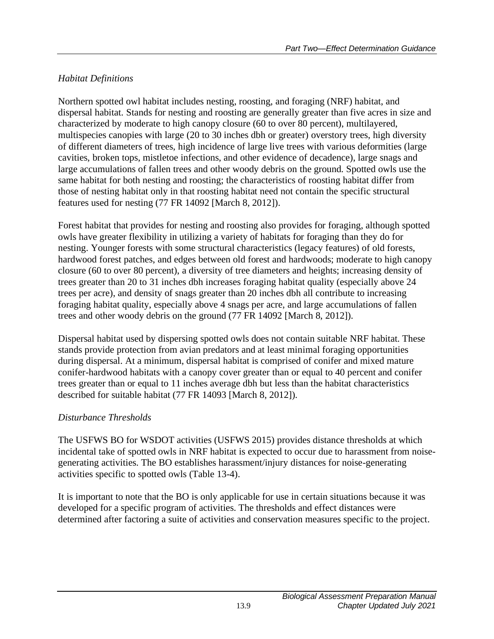## *Habitat Definitions*

Northern spotted owl habitat includes nesting, roosting, and foraging (NRF) habitat, and dispersal habitat. Stands for nesting and roosting are generally greater than five acres in size and characterized by moderate to high canopy closure (60 to over 80 percent), multilayered, multispecies canopies with large (20 to 30 inches dbh or greater) overstory trees, high diversity of different diameters of trees, high incidence of large live trees with various deformities (large cavities, broken tops, mistletoe infections, and other evidence of decadence), large snags and large accumulations of fallen trees and other woody debris on the ground. Spotted owls use the same habitat for both nesting and roosting; the characteristics of roosting habitat differ from those of nesting habitat only in that roosting habitat need not contain the specific structural features used for nesting (77 FR 14092 [March 8, 2012]).

Forest habitat that provides for nesting and roosting also provides for foraging, although spotted owls have greater flexibility in utilizing a variety of habitats for foraging than they do for nesting. Younger forests with some structural characteristics (legacy features) of old forests, hardwood forest patches, and edges between old forest and hardwoods; moderate to high canopy closure (60 to over 80 percent), a diversity of tree diameters and heights; increasing density of trees greater than 20 to 31 inches dbh increases foraging habitat quality (especially above 24 trees per acre), and density of snags greater than 20 inches dbh all contribute to increasing foraging habitat quality, especially above 4 snags per acre, and large accumulations of fallen trees and other woody debris on the ground (77 FR 14092 [March 8, 2012]).

Dispersal habitat used by dispersing spotted owls does not contain suitable NRF habitat. These stands provide protection from avian predators and at least minimal foraging opportunities during dispersal. At a minimum, dispersal habitat is comprised of conifer and mixed mature conifer-hardwood habitats with a canopy cover greater than or equal to 40 percent and conifer trees greater than or equal to 11 inches average dbh but less than the habitat characteristics described for suitable habitat (77 FR 14093 [March 8, 2012]).

## *Disturbance Thresholds*

The USFWS BO for WSDOT activities (USFWS 2015) provides distance thresholds at which incidental take of spotted owls in NRF habitat is expected to occur due to harassment from noisegenerating activities. The BO establishes harassment/injury distances for noise-generating activities specific to spotted owls (Table 13-4).

It is important to note that the BO is only applicable for use in certain situations because it was developed for a specific program of activities. The thresholds and effect distances were determined after factoring a suite of activities and conservation measures specific to the project.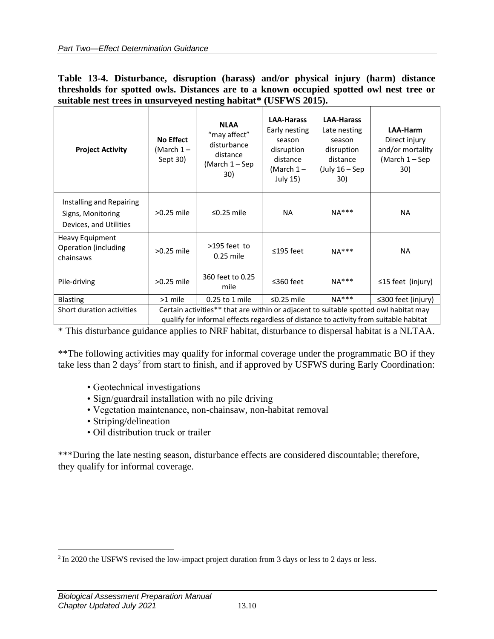<span id="page-13-0"></span>

|                                                                  |  | Table 13-4. Disturbance, disruption (harass) and/or physical injury (harm) distance     |  |  |  |  |  |  |
|------------------------------------------------------------------|--|-----------------------------------------------------------------------------------------|--|--|--|--|--|--|
|                                                                  |  | thresholds for spotted owls. Distances are to a known occupied spotted owl nest tree or |  |  |  |  |  |  |
| suitable nest trees in unsurveyed nesting habitat* (USFWS 2015). |  |                                                                                         |  |  |  |  |  |  |

| <b>Project Activity</b>                                                 | <b>No Effect</b><br>(March 1-<br>Sept 30)                                                                                                                                     | <b>NLAA</b><br>"may affect"<br>disturbance<br>distance<br>(March 1 - Sep<br>30) | <b>LAA-Harass</b><br>Early nesting<br>season<br>disruption<br>distance<br>(March $1-$<br>July 15) | <b>LAA-Harass</b><br>Late nesting<br>season<br>disruption<br>distance<br>(July $16 -$ Sep<br>30) | LAA-Harm<br>Direct injury<br>and/or mortality<br>(March 1 – Sep<br>30) |  |
|-------------------------------------------------------------------------|-------------------------------------------------------------------------------------------------------------------------------------------------------------------------------|---------------------------------------------------------------------------------|---------------------------------------------------------------------------------------------------|--------------------------------------------------------------------------------------------------|------------------------------------------------------------------------|--|
| Installing and Repairing<br>Signs, Monitoring<br>Devices, and Utilities | $>0.25$ mile                                                                                                                                                                  | $\leq$ 0.25 mile                                                                | NA.                                                                                               | $NA***$                                                                                          | <b>NA</b>                                                              |  |
| Heavy Equipment<br>Operation (including<br>chainsaws                    | $>0.25$ mile                                                                                                                                                                  | $>195$ feet to<br>$0.25$ mile                                                   | $\leq$ 195 feet                                                                                   | $NA***$                                                                                          | <b>NA</b>                                                              |  |
| Pile-driving                                                            | $>0.25$ mile                                                                                                                                                                  | 360 feet to 0.25<br>mile                                                        | $≤360$ feet                                                                                       | $NA***$                                                                                          | $\leq$ 15 feet (injury)                                                |  |
| <b>Blasting</b>                                                         | >1 mile                                                                                                                                                                       | 0.25 to 1 mile                                                                  | $\leq$ 0.25 mile                                                                                  | $NA***$                                                                                          | $\leq$ 300 feet (injury)                                               |  |
| Short duration activities                                               | Certain activities** that are within or adjacent to suitable spotted owl habitat may<br>qualify for informal effects regardless of distance to activity from suitable habitat |                                                                                 |                                                                                                   |                                                                                                  |                                                                        |  |

\* This disturbance guidance applies to NRF habitat, disturbance to dispersal habitat is a NLTAA.

\*\*The following activities may qualify for informal coverage under the programmatic BO if they take less than 2 days<sup>2</sup> from start to finish, and if approved by USFWS during Early Coordination:

- Geotechnical investigations
- Sign/guardrail installation with no pile driving
- Vegetation maintenance, non-chainsaw, non-habitat removal
- Striping/delineation
- Oil distribution truck or trailer

\*\*\*During the late nesting season, disturbance effects are considered discountable; therefore, they qualify for informal coverage.

 $2 \text{ In } 2020$  the USFWS revised the low-impact project duration from 3 days or less to 2 days or less.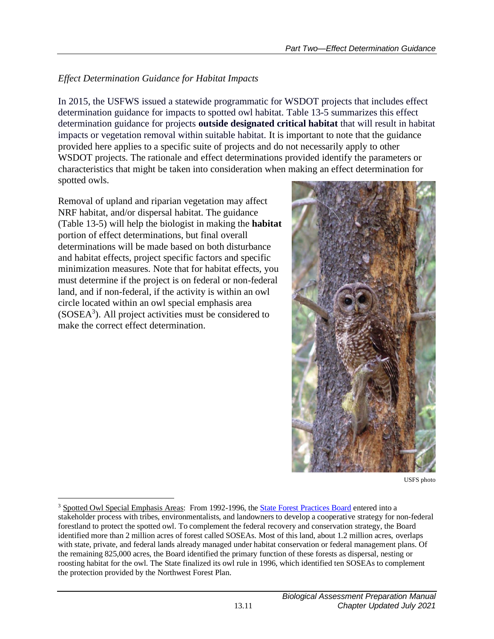### *Effect Determination Guidance for Habitat Impacts*

In 2015, the USFWS issued a statewide programmatic for WSDOT projects that includes effect determination guidance for impacts to spotted owl habitat. Table 13-5 summarizes this effect determination guidance for projects **outside designated critical habitat** that will result in habitat impacts or vegetation removal within suitable habitat. It is important to note that the guidance provided here applies to a specific suite of projects and do not necessarily apply to other WSDOT projects. The rationale and effect determinations provided identify the parameters or characteristics that might be taken into consideration when making an effect determination for spotted owls.

Removal of upland and riparian vegetation may affect NRF habitat, and/or dispersal habitat. The guidance (Table 13-5) will help the biologist in making the **habitat** portion of effect determinations, but final overall determinations will be made based on both disturbance and habitat effects, project specific factors and specific minimization measures. Note that for habitat effects, you must determine if the project is on federal or non-federal land, and if non-federal, if the activity is within an owl circle located within an owl special emphasis area  $(SOSEA<sup>3</sup>)$ . All project activities must be considered to make the correct effect determination.



USFS photo

<sup>3</sup> Spotted Owl Special Emphasis Areas: From 1992-1996, the [State Forest Practices Board](https://www.dnr.wa.gov/about/boards-and-councils/forest-practices-board) entered into a stakeholder process with tribes, environmentalists, and landowners to develop a cooperative strategy for non-federal forestland to protect the spotted owl. To complement the federal recovery and conservation strategy, the Board identified more than 2 million acres of forest called SOSEAs. Most of this land, about 1.2 million acres, overlaps with state, private, and federal lands already managed under habitat conservation or federal management plans. Of the remaining 825,000 acres, the Board identified the primary function of these forests as dispersal, nesting or roosting habitat for the owl. The State finalized its owl rule in 1996, which identified ten SOSEAs to complement the protection provided by the Northwest Forest Plan.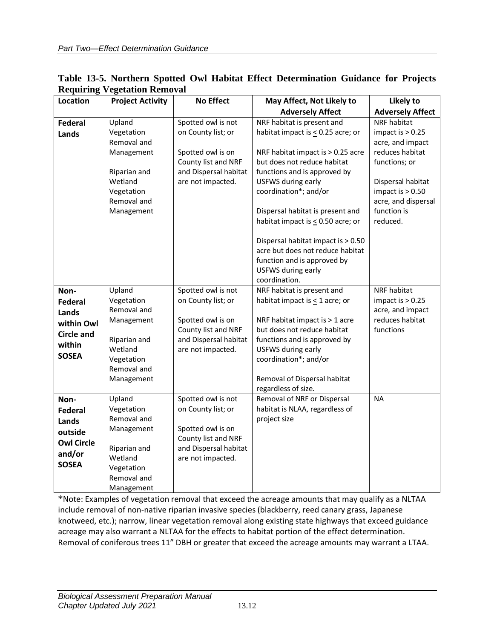| <b>Location</b>                                                                              | <b>Project Activity</b>                                                                                                 | <b>No Effect</b>                                                                                                                   | May Affect, Not Likely to                                                                                                                                                                                                                                                                        | Likely to                                                                                                                                                                              |
|----------------------------------------------------------------------------------------------|-------------------------------------------------------------------------------------------------------------------------|------------------------------------------------------------------------------------------------------------------------------------|--------------------------------------------------------------------------------------------------------------------------------------------------------------------------------------------------------------------------------------------------------------------------------------------------|----------------------------------------------------------------------------------------------------------------------------------------------------------------------------------------|
|                                                                                              |                                                                                                                         |                                                                                                                                    | <b>Adversely Affect</b>                                                                                                                                                                                                                                                                          | <b>Adversely Affect</b>                                                                                                                                                                |
| <b>Federal</b><br>Lands                                                                      | Upland<br>Vegetation<br>Removal and<br>Management<br>Riparian and<br>Wetland<br>Vegetation<br>Removal and<br>Management | Spotted owl is not<br>on County list; or<br>Spotted owl is on<br>County list and NRF<br>and Dispersal habitat<br>are not impacted. | NRF habitat is present and<br>habitat impact is $\leq$ 0.25 acre; or<br>NRF habitat impact is > 0.25 acre<br>but does not reduce habitat<br>functions and is approved by<br>USFWS during early<br>coordination*; and/or<br>Dispersal habitat is present and<br>habitat impact is < 0.50 acre; or | NRF habitat<br>impact is $> 0.25$<br>acre, and impact<br>reduces habitat<br>functions; or<br>Dispersal habitat<br>impact is $> 0.50$<br>acre, and dispersal<br>function is<br>reduced. |
|                                                                                              |                                                                                                                         |                                                                                                                                    | Dispersal habitat impact is > 0.50<br>acre but does not reduce habitat<br>function and is approved by<br>USFWS during early<br>coordination.                                                                                                                                                     |                                                                                                                                                                                        |
| Non-<br><b>Federal</b><br>Lands<br>within Owl<br><b>Circle and</b><br>within<br><b>SOSEA</b> | Upland<br>Vegetation<br>Removal and<br>Management<br>Riparian and<br>Wetland<br>Vegetation<br>Removal and<br>Management | Spotted owl is not<br>on County list; or<br>Spotted owl is on<br>County list and NRF<br>and Dispersal habitat<br>are not impacted. | NRF habitat is present and<br>habitat impact is $\leq$ 1 acre; or<br>NRF habitat impact is > 1 acre<br>but does not reduce habitat<br>functions and is approved by<br>USFWS during early<br>coordination*; and/or<br>Removal of Dispersal habitat<br>regardless of size.                         | <b>NRF</b> habitat<br>impact is $> 0.25$<br>acre, and impact<br>reduces habitat<br>functions                                                                                           |
| Non-<br>Federal<br>Lands<br>outside<br><b>Owl Circle</b><br>and/or<br><b>SOSEA</b>           | Upland<br>Vegetation<br>Removal and<br>Management<br>Riparian and<br>Wetland<br>Vegetation<br>Removal and<br>Management | Spotted owl is not<br>on County list; or<br>Spotted owl is on<br>County list and NRF<br>and Dispersal habitat<br>are not impacted. | Removal of NRF or Dispersal<br>habitat is NLAA, regardless of<br>project size                                                                                                                                                                                                                    | <b>NA</b>                                                                                                                                                                              |

<span id="page-15-0"></span>

| Table 13-5. Northern Spotted Owl Habitat Effect Determination Guidance for Projects |  |  |  |  |
|-------------------------------------------------------------------------------------|--|--|--|--|
| <b>Requiring Vegetation Removal</b>                                                 |  |  |  |  |

\*Note: Examples of vegetation removal that exceed the acreage amounts that may qualify as a NLTAA include removal of non-native riparian invasive species (blackberry, reed canary grass, Japanese knotweed, etc.); narrow, linear vegetation removal along existing state highways that exceed guidance acreage may also warrant a NLTAA for the effects to habitat portion of the effect determination. Removal of coniferous trees 11" DBH or greater that exceed the acreage amounts may warrant a LTAA.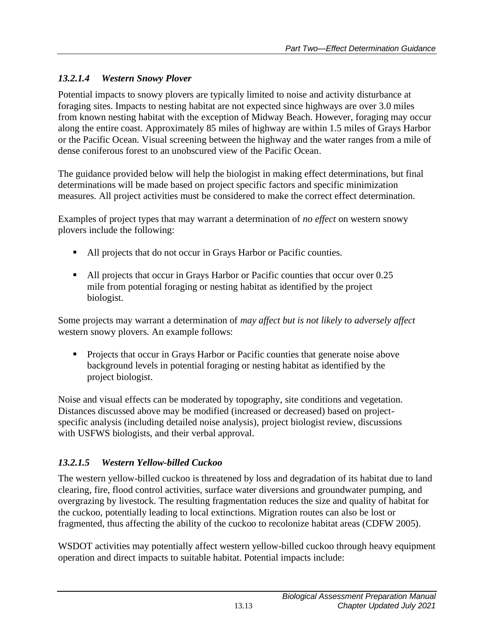## *13.2.1.4 Western Snowy Plover*

Potential impacts to snowy plovers are typically limited to noise and activity disturbance at foraging sites. Impacts to nesting habitat are not expected since highways are over 3.0 miles from known nesting habitat with the exception of Midway Beach. However, foraging may occur along the entire coast. Approximately 85 miles of highway are within 1.5 miles of Grays Harbor or the Pacific Ocean. Visual screening between the highway and the water ranges from a mile of dense coniferous forest to an unobscured view of the Pacific Ocean.

The guidance provided below will help the biologist in making effect determinations, but final determinations will be made based on project specific factors and specific minimization measures. All project activities must be considered to make the correct effect determination.

Examples of project types that may warrant a determination of *no effect* on western snowy plovers include the following:

- All projects that do not occur in Grays Harbor or Pacific counties.
- All projects that occur in Grays Harbor or Pacific counties that occur over 0.25 mile from potential foraging or nesting habitat as identified by the project biologist.

Some projects may warrant a determination of *may affect but is not likely to adversely affect* western snowy plovers. An example follows:

▪ Projects that occur in Grays Harbor or Pacific counties that generate noise above background levels in potential foraging or nesting habitat as identified by the project biologist.

Noise and visual effects can be moderated by topography, site conditions and vegetation. Distances discussed above may be modified (increased or decreased) based on projectspecific analysis (including detailed noise analysis), project biologist review, discussions with USFWS biologists, and their verbal approval.

## *13.2.1.5 Western Yellow-billed Cuckoo*

The western yellow-billed cuckoo is threatened by loss and degradation of its habitat due to land clearing, fire, flood control activities, surface water diversions and groundwater pumping, and overgrazing by livestock. The resulting fragmentation reduces the size and quality of habitat for the cuckoo, potentially leading to local extinctions. Migration routes can also be lost or fragmented, thus affecting the ability of the cuckoo to recolonize habitat areas (CDFW 2005).

WSDOT activities may potentially affect western yellow-billed cuckoo through heavy equipment operation and direct impacts to suitable habitat. Potential impacts include: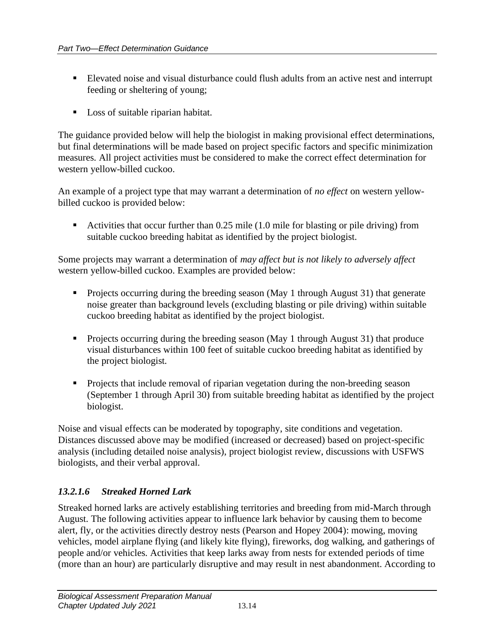- Elevated noise and visual disturbance could flush adults from an active nest and interrupt feeding or sheltering of young;
- Loss of suitable riparian habitat.

The guidance provided below will help the biologist in making provisional effect determinations, but final determinations will be made based on project specific factors and specific minimization measures. All project activities must be considered to make the correct effect determination for western yellow-billed cuckoo.

An example of a project type that may warrant a determination of *no effect* on western yellowbilled cuckoo is provided below:

■ Activities that occur further than 0.25 mile (1.0 mile for blasting or pile driving) from suitable cuckoo breeding habitat as identified by the project biologist.

Some projects may warrant a determination of *may affect but is not likely to adversely affect* western yellow-billed cuckoo. Examples are provided below:

- Projects occurring during the breeding season (May 1 through August 31) that generate noise greater than background levels (excluding blasting or pile driving) within suitable cuckoo breeding habitat as identified by the project biologist.
- Projects occurring during the breeding season (May 1 through August 31) that produce visual disturbances within 100 feet of suitable cuckoo breeding habitat as identified by the project biologist.
- Projects that include removal of riparian vegetation during the non-breeding season (September 1 through April 30) from suitable breeding habitat as identified by the project biologist.

Noise and visual effects can be moderated by topography, site conditions and vegetation. Distances discussed above may be modified (increased or decreased) based on project-specific analysis (including detailed noise analysis), project biologist review, discussions with USFWS biologists, and their verbal approval.

### *13.2.1.6 Streaked Horned Lark*

Streaked horned larks are actively establishing territories and breeding from mid-March through August. The following activities appear to influence lark behavior by causing them to become alert, fly, or the activities directly destroy nests (Pearson and Hopey 2004): mowing, moving vehicles, model airplane flying (and likely kite flying), fireworks, dog walking, and gatherings of people and/or vehicles. Activities that keep larks away from nests for extended periods of time (more than an hour) are particularly disruptive and may result in nest abandonment. According to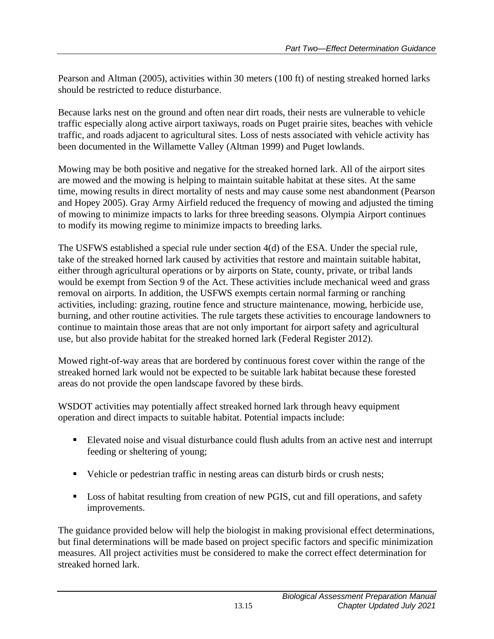Pearson and Altman (2005), activities within 30 meters (100 ft) of nesting streaked horned larks should be restricted to reduce disturbance.

Because larks nest on the ground and often near dirt roads, their nests are vulnerable to vehicle traffic especially along active airport taxiways, roads on Puget prairie sites, beaches with vehicle traffic, and roads adjacent to agricultural sites. Loss of nests associated with vehicle activity has been documented in the Willamette Valley (Altman 1999) and Puget lowlands.

Mowing may be both positive and negative for the streaked horned lark. All of the airport sites are mowed and the mowing is helping to maintain suitable habitat at these sites. At the same time, mowing results in direct mortality of nests and may cause some nest abandonment (Pearson and Hopey 2005). Gray Army Airfield reduced the frequency of mowing and adjusted the timing of mowing to minimize impacts to larks for three breeding seasons. Olympia Airport continues to modify its mowing regime to minimize impacts to breeding larks.

The USFWS established a special rule under section 4(d) of the ESA. Under the special rule, take of the streaked horned lark caused by activities that restore and maintain suitable habitat, either through agricultural operations or by airports on State, county, private, or tribal lands would be exempt from Section 9 of the Act. These activities include mechanical weed and grass removal on airports. In addition, the USFWS exempts certain normal farming or ranching activities, including: grazing, routine fence and structure maintenance, mowing, herbicide use, burning, and other routine activities. The rule targets these activities to encourage landowners to continue to maintain those areas that are not only important for airport safety and agricultural use, but also provide habitat for the streaked horned lark (Federal Register 2012).

Mowed right-of-way areas that are bordered by continuous forest cover within the range of the streaked horned lark would not be expected to be suitable lark habitat because these forested areas do not provide the open landscape favored by these birds.

WSDOT activities may potentially affect streaked horned lark through heavy equipment operation and direct impacts to suitable habitat. Potential impacts include:

- Elevated noise and visual disturbance could flush adults from an active nest and interrupt feeding or sheltering of young;
- Vehicle or pedestrian traffic in nesting areas can disturb birds or crush nests;
- Loss of habitat resulting from creation of new PGIS, cut and fill operations, and safety improvements.

The guidance provided below will help the biologist in making provisional effect determinations, but final determinations will be made based on project specific factors and specific minimization measures. All project activities must be considered to make the correct effect determination for streaked horned lark.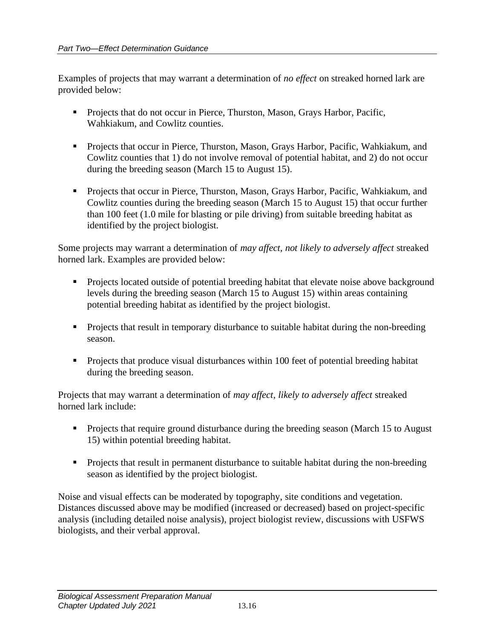Examples of projects that may warrant a determination of *no effect* on streaked horned lark are provided below:

- Projects that do not occur in Pierce, Thurston, Mason, Grays Harbor, Pacific, Wahkiakum, and Cowlitz counties.
- **•** Projects that occur in Pierce, Thurston, Mason, Grays Harbor, Pacific, Wahkiakum, and Cowlitz counties that 1) do not involve removal of potential habitat, and 2) do not occur during the breeding season (March 15 to August 15).
- **•** Projects that occur in Pierce, Thurston, Mason, Grays Harbor, Pacific, Wahkiakum, and Cowlitz counties during the breeding season (March 15 to August 15) that occur further than 100 feet (1.0 mile for blasting or pile driving) from suitable breeding habitat as identified by the project biologist.

Some projects may warrant a determination of *may affect, not likely to adversely affect* streaked horned lark. Examples are provided below:

- **•** Projects located outside of potential breeding habitat that elevate noise above background levels during the breeding season (March 15 to August 15) within areas containing potential breeding habitat as identified by the project biologist.
- **•** Projects that result in temporary disturbance to suitable habitat during the non-breeding season.
- Projects that produce visual disturbances within 100 feet of potential breeding habitat during the breeding season.

Projects that may warrant a determination of *may affect, likely to adversely affect* streaked horned lark include:

- Projects that require ground disturbance during the breeding season (March 15 to August) 15) within potential breeding habitat.
- **•** Projects that result in permanent disturbance to suitable habitat during the non-breeding season as identified by the project biologist.

Noise and visual effects can be moderated by topography, site conditions and vegetation. Distances discussed above may be modified (increased or decreased) based on project-specific analysis (including detailed noise analysis), project biologist review, discussions with USFWS biologists, and their verbal approval.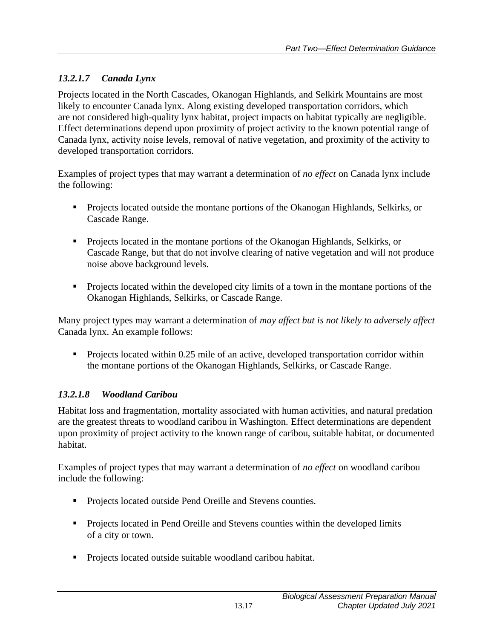## *13.2.1.7 Canada Lynx*

Projects located in the North Cascades, Okanogan Highlands, and Selkirk Mountains are most likely to encounter Canada lynx. Along existing developed transportation corridors, which are not considered high-quality lynx habitat, project impacts on habitat typically are negligible. Effect determinations depend upon proximity of project activity to the known potential range of Canada lynx, activity noise levels, removal of native vegetation, and proximity of the activity to developed transportation corridors.

Examples of project types that may warrant a determination of *no effect* on Canada lynx include the following:

- **•** Projects located outside the montane portions of the Okanogan Highlands, Selkirks, or Cascade Range.
- Projects located in the montane portions of the Okanogan Highlands, Selkirks, or Cascade Range, but that do not involve clearing of native vegetation and will not produce noise above background levels.
- Projects located within the developed city limits of a town in the montane portions of the Okanogan Highlands, Selkirks, or Cascade Range.

Many project types may warrant a determination of *may affect but is not likely to adversely affect* Canada lynx. An example follows:

• Projects located within 0.25 mile of an active, developed transportation corridor within the montane portions of the Okanogan Highlands, Selkirks, or Cascade Range.

## *13.2.1.8 Woodland Caribou*

Habitat loss and fragmentation, mortality associated with human activities, and natural predation are the greatest threats to woodland caribou in Washington. Effect determinations are dependent upon proximity of project activity to the known range of caribou, suitable habitat, or documented habitat.

Examples of project types that may warrant a determination of *no effect* on woodland caribou include the following:

- Projects located outside Pend Oreille and Stevens counties.
- Projects located in Pend Oreille and Stevens counties within the developed limits of a city or town.
- Projects located outside suitable woodland caribou habitat.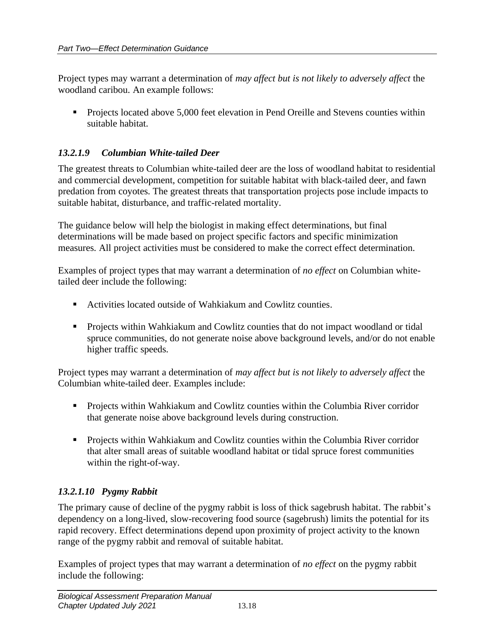Project types may warrant a determination of *may affect but is not likely to adversely affect* the woodland caribou. An example follows:

• Projects located above 5,000 feet elevation in Pend Oreille and Stevens counties within suitable habitat.

#### *13.2.1.9 Columbian White-tailed Deer*

The greatest threats to Columbian white-tailed deer are the loss of woodland habitat to residential and commercial development, competition for suitable habitat with black-tailed deer, and fawn predation from coyotes. The greatest threats that transportation projects pose include impacts to suitable habitat, disturbance, and traffic-related mortality.

The guidance below will help the biologist in making effect determinations, but final determinations will be made based on project specific factors and specific minimization measures. All project activities must be considered to make the correct effect determination.

Examples of project types that may warrant a determination of *no effect* on Columbian whitetailed deer include the following:

- Activities located outside of Wahkiakum and Cowlitz counties.
- **•** Projects within Wahkiakum and Cowlitz counties that do not impact woodland or tidal spruce communities, do not generate noise above background levels, and/or do not enable higher traffic speeds.

Project types may warrant a determination of *may affect but is not likely to adversely affect* the Columbian white-tailed deer. Examples include:

- Projects within Wahkiakum and Cowlitz counties within the Columbia River corridor that generate noise above background levels during construction.
- Projects within Wahkiakum and Cowlitz counties within the Columbia River corridor that alter small areas of suitable woodland habitat or tidal spruce forest communities within the right-of-way.

#### *13.2.1.10 Pygmy Rabbit*

The primary cause of decline of the pygmy rabbit is loss of thick sagebrush habitat. The rabbit's dependency on a long-lived, slow-recovering food source (sagebrush) limits the potential for its rapid recovery. Effect determinations depend upon proximity of project activity to the known range of the pygmy rabbit and removal of suitable habitat.

Examples of project types that may warrant a determination of *no effect* on the pygmy rabbit include the following: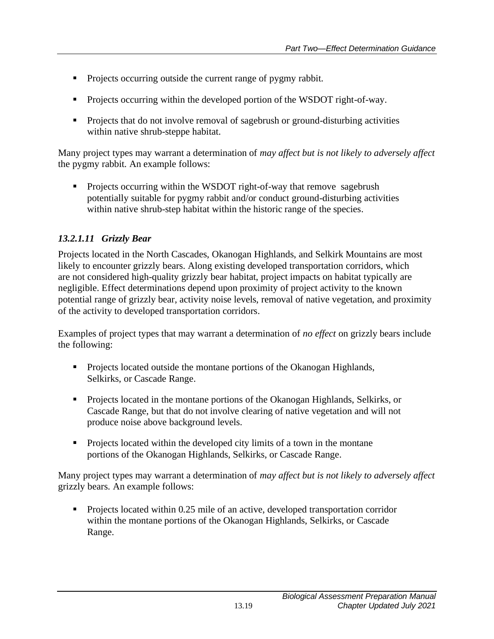- Projects occurring outside the current range of pygmy rabbit.
- Projects occurring within the developed portion of the WSDOT right-of-way.
- Projects that do not involve removal of sagebrush or ground-disturbing activities within native shrub-steppe habitat.

Many project types may warrant a determination of *may affect but is not likely to adversely affect* the pygmy rabbit. An example follows:

• Projects occurring within the WSDOT right-of-way that remove sagebrush potentially suitable for pygmy rabbit and/or conduct ground-disturbing activities within native shrub-step habitat within the historic range of the species.

## *13.2.1.11 Grizzly Bear*

Projects located in the North Cascades, Okanogan Highlands, and Selkirk Mountains are most likely to encounter grizzly bears. Along existing developed transportation corridors, which are not considered high-quality grizzly bear habitat, project impacts on habitat typically are negligible. Effect determinations depend upon proximity of project activity to the known potential range of grizzly bear, activity noise levels, removal of native vegetation, and proximity of the activity to developed transportation corridors.

Examples of project types that may warrant a determination of *no effect* on grizzly bears include the following:

- Projects located outside the montane portions of the Okanogan Highlands, Selkirks, or Cascade Range.
- Projects located in the montane portions of the Okanogan Highlands, Selkirks, or Cascade Range, but that do not involve clearing of native vegetation and will not produce noise above background levels.
- Projects located within the developed city limits of a town in the montane portions of the Okanogan Highlands, Selkirks, or Cascade Range.

Many project types may warrant a determination of *may affect but is not likely to adversely affect* grizzly bears. An example follows:

Projects located within 0.25 mile of an active, developed transportation corridor within the montane portions of the Okanogan Highlands, Selkirks, or Cascade Range.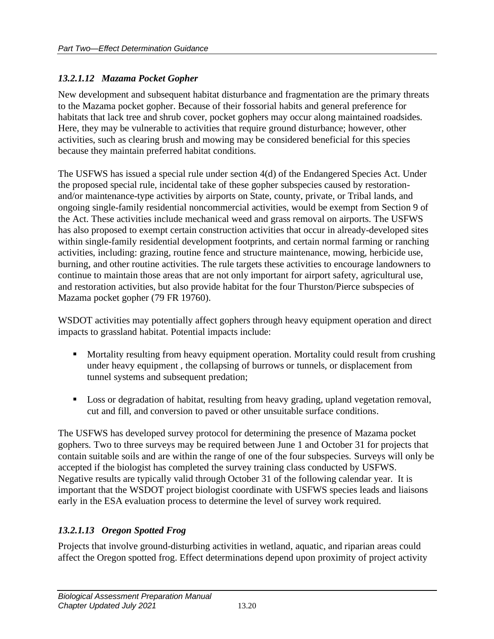#### *13.2.1.12 Mazama Pocket Gopher*

New development and subsequent habitat disturbance and fragmentation are the primary threats to the Mazama pocket gopher. Because of their fossorial habits and general preference for habitats that lack tree and shrub cover, pocket gophers may occur along maintained roadsides. Here, they may be vulnerable to activities that require ground disturbance; however, other activities, such as clearing brush and mowing may be considered beneficial for this species because they maintain preferred habitat conditions.

The USFWS has issued a special rule under section 4(d) of the Endangered Species Act. Under the proposed special rule, incidental take of these gopher subspecies caused by restorationand/or maintenance-type activities by airports on State, county, private, or Tribal lands, and ongoing single-family residential noncommercial activities, would be exempt from Section 9 of the Act. These activities include mechanical weed and grass removal on airports. The USFWS has also proposed to exempt certain construction activities that occur in already-developed sites within single-family residential development footprints, and certain normal farming or ranching activities, including: grazing, routine fence and structure maintenance, mowing, herbicide use, burning, and other routine activities. The rule targets these activities to encourage landowners to continue to maintain those areas that are not only important for airport safety, agricultural use, and restoration activities, but also provide habitat for the four Thurston/Pierce subspecies of Mazama pocket gopher (79 FR 19760).

WSDOT activities may potentially affect gophers through heavy equipment operation and direct impacts to grassland habitat. Potential impacts include:

- Mortality resulting from heavy equipment operation. Mortality could result from crushing under heavy equipment , the collapsing of burrows or tunnels, or displacement from tunnel systems and subsequent predation;
- Loss or degradation of habitat, resulting from heavy grading, upland vegetation removal, cut and fill, and conversion to paved or other unsuitable surface conditions.

The USFWS has developed survey protocol for determining the presence of Mazama pocket gophers. Two to three surveys may be required between June 1 and October 31 for projects that contain suitable soils and are within the range of one of the four subspecies. Surveys will only be accepted if the biologist has completed the survey training class conducted by USFWS. Negative results are typically valid through October 31 of the following calendar year. It is important that the WSDOT project biologist coordinate with USFWS species leads and liaisons early in the ESA evaluation process to determine the level of survey work required.

### *13.2.1.13 Oregon Spotted Frog*

Projects that involve ground-disturbing activities in wetland, aquatic, and riparian areas could affect the Oregon spotted frog. Effect determinations depend upon proximity of project activity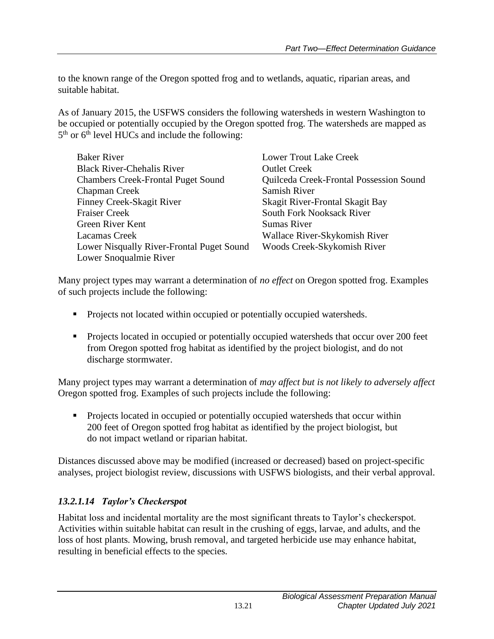to the known range of the Oregon spotted frog and to wetlands, aquatic, riparian areas, and suitable habitat.

As of January 2015, the USFWS considers the following watersheds in western Washington to be occupied or potentially occupied by the Oregon spotted frog. The watersheds are mapped as  $5<sup>th</sup>$  or  $6<sup>th</sup>$  level HUCs and include the following:

| <b>Baker River</b>                        | <b>Lower Trout Lake Creek</b>           |
|-------------------------------------------|-----------------------------------------|
| <b>Black River-Chehalis River</b>         | <b>Outlet Creek</b>                     |
| <b>Chambers Creek-Frontal Puget Sound</b> | Quilceda Creek-Frontal Possession Sound |
| <b>Chapman Creek</b>                      | Samish River                            |
| Finney Creek-Skagit River                 | Skagit River-Frontal Skagit Bay         |
| <b>Fraiser Creek</b>                      | South Fork Nooksack River               |
| Green River Kent                          | <b>Sumas River</b>                      |
| Lacamas Creek                             | Wallace River-Skykomish River           |
| Lower Nisqually River-Frontal Puget Sound | Woods Creek-Skykomish River             |
| Lower Snoqualmie River                    |                                         |

Many project types may warrant a determination of *no effect* on Oregon spotted frog. Examples of such projects include the following:

- Projects not located within occupied or potentially occupied watersheds.
- Projects located in occupied or potentially occupied watersheds that occur over 200 feet from Oregon spotted frog habitat as identified by the project biologist, and do not discharge stormwater.

Many project types may warrant a determination of *may affect but is not likely to adversely affect*  Oregon spotted frog. Examples of such projects include the following:

■ Projects located in occupied or potentially occupied watersheds that occur within 200 feet of Oregon spotted frog habitat as identified by the project biologist, but do not impact wetland or riparian habitat.

Distances discussed above may be modified (increased or decreased) based on project-specific analyses, project biologist review, discussions with USFWS biologists, and their verbal approval.

#### *13.2.1.14 Taylor's Checkerspot*

Habitat loss and incidental mortality are the most significant threats to Taylor's checkerspot. Activities within suitable habitat can result in the crushing of eggs, larvae, and adults, and the loss of host plants. Mowing, brush removal, and targeted herbicide use may enhance habitat, resulting in beneficial effects to the species.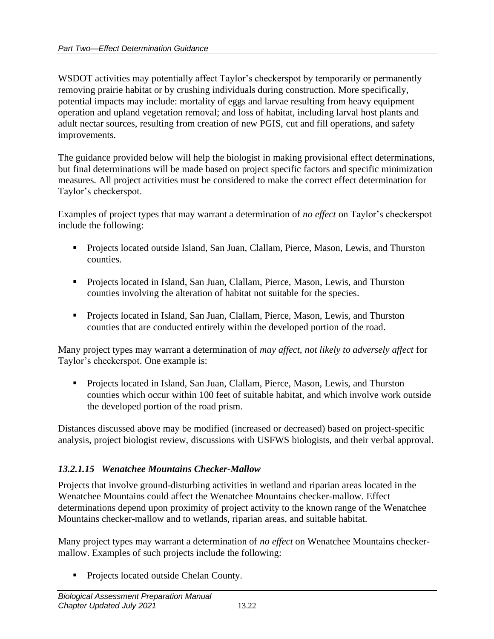WSDOT activities may potentially affect Taylor's checkerspot by temporarily or permanently removing prairie habitat or by crushing individuals during construction. More specifically, potential impacts may include: mortality of eggs and larvae resulting from heavy equipment operation and upland vegetation removal; and loss of habitat, including larval host plants and adult nectar sources, resulting from creation of new PGIS, cut and fill operations, and safety improvements.

The guidance provided below will help the biologist in making provisional effect determinations, but final determinations will be made based on project specific factors and specific minimization measures. All project activities must be considered to make the correct effect determination for Taylor's checkerspot.

Examples of project types that may warrant a determination of *no effect* on Taylor's checkerspot include the following:

- Projects located outside Island, San Juan, Clallam, Pierce, Mason, Lewis, and Thurston counties.
- Projects located in Island, San Juan, Clallam, Pierce, Mason, Lewis, and Thurston counties involving the alteration of habitat not suitable for the species.
- Projects located in Island, San Juan, Clallam, Pierce, Mason, Lewis, and Thurston counties that are conducted entirely within the developed portion of the road.

Many project types may warrant a determination of *may affect, not likely to adversely affect* for Taylor's checkerspot. One example is:

▪ Projects located in Island, San Juan, Clallam, Pierce, Mason, Lewis, and Thurston counties which occur within 100 feet of suitable habitat, and which involve work outside the developed portion of the road prism.

Distances discussed above may be modified (increased or decreased) based on project-specific analysis, project biologist review, discussions with USFWS biologists, and their verbal approval.

### *13.2.1.15 Wenatchee Mountains Checker-Mallow*

Projects that involve ground-disturbing activities in wetland and riparian areas located in the Wenatchee Mountains could affect the Wenatchee Mountains checker-mallow. Effect determinations depend upon proximity of project activity to the known range of the Wenatchee Mountains checker-mallow and to wetlands, riparian areas, and suitable habitat.

Many project types may warrant a determination of *no effect* on Wenatchee Mountains checkermallow. Examples of such projects include the following:

■ Projects located outside Chelan County.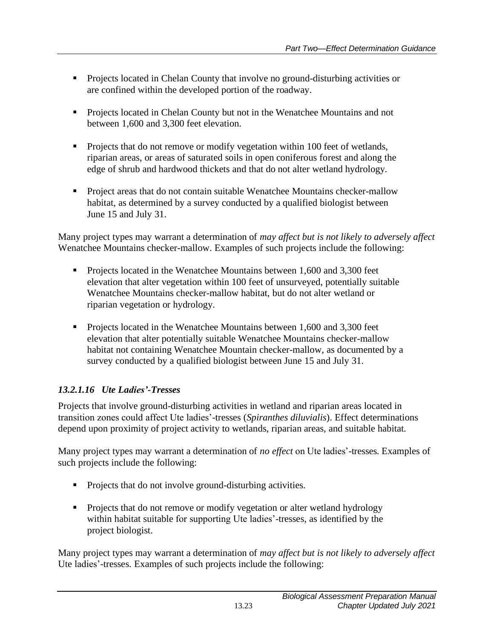- Projects located in Chelan County that involve no ground-disturbing activities or are confined within the developed portion of the roadway.
- Projects located in Chelan County but not in the Wenatchee Mountains and not between 1,600 and 3,300 feet elevation.
- Projects that do not remove or modify vegetation within 100 feet of wetlands, riparian areas, or areas of saturated soils in open coniferous forest and along the edge of shrub and hardwood thickets and that do not alter wetland hydrology.
- Project areas that do not contain suitable Wenatchee Mountains checker-mallow habitat, as determined by a survey conducted by a qualified biologist between June 15 and July 31.

Many project types may warrant a determination of *may affect but is not likely to adversely affect*  Wenatchee Mountains checker-mallow. Examples of such projects include the following:

- Projects located in the Wenatchee Mountains between 1,600 and 3,300 feet elevation that alter vegetation within 100 feet of unsurveyed, potentially suitable Wenatchee Mountains checker-mallow habitat, but do not alter wetland or riparian vegetation or hydrology.
- Projects located in the Wenatchee Mountains between 1,600 and 3,300 feet elevation that alter potentially suitable Wenatchee Mountains checker-mallow habitat not containing Wenatchee Mountain checker-mallow, as documented by a survey conducted by a qualified biologist between June 15 and July 31.

## *13.2.1.16 Ute Ladies'-Tresses*

Projects that involve ground-disturbing activities in wetland and riparian areas located in transition zones could affect Ute ladies'-tresses (*Spiranthes diluvialis*). Effect determinations depend upon proximity of project activity to wetlands, riparian areas, and suitable habitat.

Many project types may warrant a determination of *no effect* on Ute ladies'-tresses. Examples of such projects include the following:

- Projects that do not involve ground-disturbing activities.
- Projects that do not remove or modify vegetation or alter wetland hydrology within habitat suitable for supporting Ute ladies'-tresses, as identified by the project biologist.

Many project types may warrant a determination of *may affect but is not likely to adversely affect*  Ute ladies'-tresses. Examples of such projects include the following: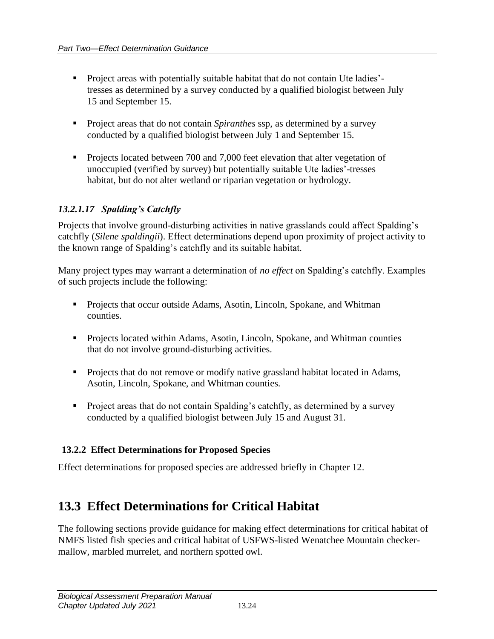- Project areas with potentially suitable habitat that do not contain Ute ladies' tresses as determined by a survey conducted by a qualified biologist between July 15 and September 15.
- Project areas that do not contain *Spiranthes* ssp, as determined by a survey conducted by a qualified biologist between July 1 and September 15.
- Projects located between 700 and 7,000 feet elevation that alter vegetation of unoccupied (verified by survey) but potentially suitable Ute ladies'-tresses habitat, but do not alter wetland or riparian vegetation or hydrology.

## *13.2.1.17 Spalding's Catchfly*

Projects that involve ground-disturbing activities in native grasslands could affect Spalding's catchfly (*Silene spaldingii*). Effect determinations depend upon proximity of project activity to the known range of Spalding's catchfly and its suitable habitat.

Many project types may warrant a determination of *no effect* on Spalding's catchfly. Examples of such projects include the following:

- Projects that occur outside Adams, Asotin, Lincoln, Spokane, and Whitman counties.
- Projects located within Adams, Asotin, Lincoln, Spokane, and Whitman counties that do not involve ground-disturbing activities.
- Projects that do not remove or modify native grassland habitat located in Adams, Asotin, Lincoln, Spokane, and Whitman counties.
- Project areas that do not contain Spalding's catchfly, as determined by a survey conducted by a qualified biologist between July 15 and August 31.

#### <span id="page-27-0"></span>**13.2.2 Effect Determinations for Proposed Species**

Effect determinations for proposed species are addressed briefly in Chapter 12.

## <span id="page-27-1"></span>**13.3 Effect Determinations for Critical Habitat**

The following sections provide guidance for making effect determinations for critical habitat of NMFS listed fish species and critical habitat of USFWS-listed Wenatchee Mountain checkermallow, marbled murrelet, and northern spotted owl.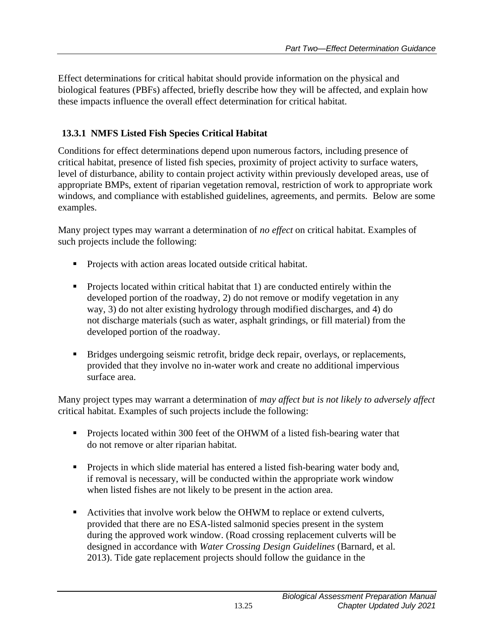Effect determinations for critical habitat should provide information on the physical and biological features (PBFs) affected, briefly describe how they will be affected, and explain how these impacts influence the overall effect determination for critical habitat.

## <span id="page-28-0"></span>**13.3.1 NMFS Listed Fish Species Critical Habitat**

Conditions for effect determinations depend upon numerous factors, including presence of critical habitat, presence of listed fish species, proximity of project activity to surface waters, level of disturbance, ability to contain project activity within previously developed areas, use of appropriate BMPs, extent of riparian vegetation removal, restriction of work to appropriate work windows, and compliance with established guidelines, agreements, and permits. Below are some examples.

Many project types may warrant a determination of *no effect* on critical habitat. Examples of such projects include the following:

- Projects with action areas located outside critical habitat.
- Projects located within critical habitat that 1) are conducted entirely within the developed portion of the roadway, 2) do not remove or modify vegetation in any way, 3) do not alter existing hydrology through modified discharges, and 4) do not discharge materials (such as water, asphalt grindings, or fill material) from the developed portion of the roadway.
- Bridges undergoing seismic retrofit, bridge deck repair, overlays, or replacements, provided that they involve no in-water work and create no additional impervious surface area.

Many project types may warrant a determination of *may affect but is not likely to adversely affect*  critical habitat. Examples of such projects include the following:

- Projects located within 300 feet of the OHWM of a listed fish-bearing water that do not remove or alter riparian habitat.
- Projects in which slide material has entered a listed fish-bearing water body and, if removal is necessary, will be conducted within the appropriate work window when listed fishes are not likely to be present in the action area.
- Activities that involve work below the OHWM to replace or extend culverts, provided that there are no ESA-listed salmonid species present in the system during the approved work window. (Road crossing replacement culverts will be designed in accordance with *Water Crossing Design Guidelines* (Barnard, et al. 2013). Tide gate replacement projects should follow the guidance in the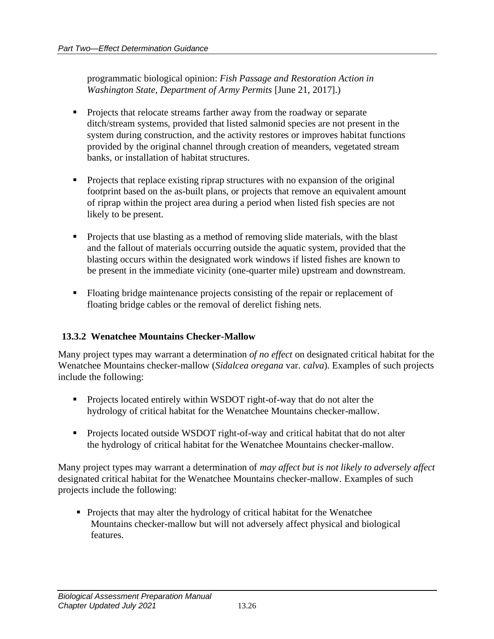programmatic biological opinion: *Fish Passage and Restoration Action in Washington State, Department of Army Permits* [June 21, 2017].)

- Projects that relocate streams farther away from the roadway or separate ditch/stream systems, provided that listed salmonid species are not present in the system during construction, and the activity restores or improves habitat functions provided by the original channel through creation of meanders, vegetated stream banks, or installation of habitat structures.
- Projects that replace existing riprap structures with no expansion of the original footprint based on the as-built plans, or projects that remove an equivalent amount of riprap within the project area during a period when listed fish species are not likely to be present.
- Projects that use blasting as a method of removing slide materials, with the blast and the fallout of materials occurring outside the aquatic system, provided that the blasting occurs within the designated work windows if listed fishes are known to be present in the immediate vicinity (one-quarter mile) upstream and downstream.
- Floating bridge maintenance projects consisting of the repair or replacement of floating bridge cables or the removal of derelict fishing nets.

#### <span id="page-29-0"></span>**13.3.2 Wenatchee Mountains Checker-Mallow**

Many project types may warrant a determination *of no effect* on designated critical habitat for the Wenatchee Mountains checker-mallow (*Sidalcea oregana* var. *calva*). Examples of such projects include the following:

- **•** Projects located entirely within WSDOT right-of-way that do not alter the hydrology of critical habitat for the Wenatchee Mountains checker-mallow.
- Projects located outside WSDOT right-of-way and critical habitat that do not alter the hydrology of critical habitat for the Wenatchee Mountains checker-mallow.

Many project types may warrant a determination of *may affect but is not likely to adversely affect*  designated critical habitat for the Wenatchee Mountains checker-mallow. Examples of such projects include the following:

• Projects that may alter the hydrology of critical habitat for the Wenatchee Mountains checker-mallow but will not adversely affect physical and biological features.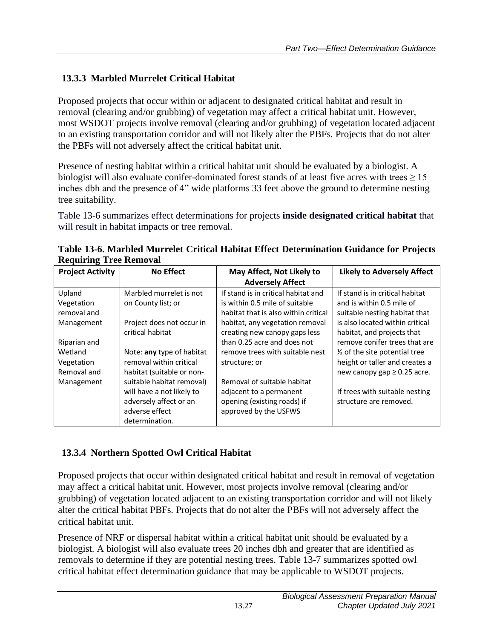## <span id="page-30-0"></span>**13.3.3 Marbled Murrelet Critical Habitat**

Proposed projects that occur within or adjacent to designated critical habitat and result in removal (clearing and/or grubbing) of vegetation may affect a critical habitat unit. However, most WSDOT projects involve removal (clearing and/or grubbing) of vegetation located adjacent to an existing transportation corridor and will not likely alter the PBFs. Projects that do not alter the PBFs will not adversely affect the critical habitat unit.

Presence of nesting habitat within a critical habitat unit should be evaluated by a biologist. A biologist will also evaluate conifer-dominated forest stands of at least five acres with trees  $\geq 15$ inches dbh and the presence of 4" wide platforms 33 feet above the ground to determine nesting tree suitability.

Table 13-6 summarizes effect determinations for projects **inside designated critical habitat** that will result in habitat impacts or tree removal.

| requiring free reduction             |                                                                                                                      |                                                                                                                |                                                                                                                |  |  |  |  |  |  |
|--------------------------------------|----------------------------------------------------------------------------------------------------------------------|----------------------------------------------------------------------------------------------------------------|----------------------------------------------------------------------------------------------------------------|--|--|--|--|--|--|
| <b>Project Activity</b>              | <b>No Effect</b>                                                                                                     | May Affect, Not Likely to                                                                                      | <b>Likely to Adversely Affect</b>                                                                              |  |  |  |  |  |  |
|                                      |                                                                                                                      | <b>Adversely Affect</b>                                                                                        |                                                                                                                |  |  |  |  |  |  |
| Upland<br>Vegetation<br>removal and  | Marbled murrelet is not<br>on County list; or                                                                        | If stand is in critical habitat and<br>is within 0.5 mile of suitable<br>habitat that is also within critical  | If stand is in critical habitat<br>and is within 0.5 mile of<br>suitable nesting habitat that                  |  |  |  |  |  |  |
| Management                           | Project does not occur in<br>critical habitat                                                                        | habitat, any vegetation removal<br>creating new canopy gaps less                                               | is also located within critical<br>habitat, and projects that                                                  |  |  |  |  |  |  |
| Riparian and                         |                                                                                                                      | than 0.25 acre and does not                                                                                    | remove conifer trees that are                                                                                  |  |  |  |  |  |  |
| Wetland<br>Vegetation<br>Removal and | Note: any type of habitat<br>removal within critical<br>habitat (suitable or non-                                    | remove trees with suitable nest<br>structure; or                                                               | $\frac{1}{2}$ of the site potential tree<br>height or taller and creates a<br>new canopy gap $\geq$ 0.25 acre. |  |  |  |  |  |  |
| Management                           | suitable habitat removal)<br>will have a not likely to<br>adversely affect or an<br>adverse effect<br>determination. | Removal of suitable habitat<br>adjacent to a permanent<br>opening (existing roads) if<br>approved by the USFWS | If trees with suitable nesting<br>structure are removed.                                                       |  |  |  |  |  |  |

**Table 13-6. Marbled Murrelet Critical Habitat Effect Determination Guidance for Projects Requiring Tree Removal**

## <span id="page-30-1"></span>**13.3.4 Northern Spotted Owl Critical Habitat**

Proposed projects that occur within designated critical habitat and result in removal of vegetation may affect a critical habitat unit. However, most projects involve removal (clearing and/or grubbing) of vegetation located adjacent to an existing transportation corridor and will not likely alter the critical habitat PBFs. Projects that do not alter the PBFs will not adversely affect the critical habitat unit.

Presence of NRF or dispersal habitat within a critical habitat unit should be evaluated by a biologist. A biologist will also evaluate trees 20 inches dbh and greater that are identified as removals to determine if they are potential nesting trees. Table 13-7 summarizes spotted owl critical habitat effect determination guidance that may be applicable to WSDOT projects.